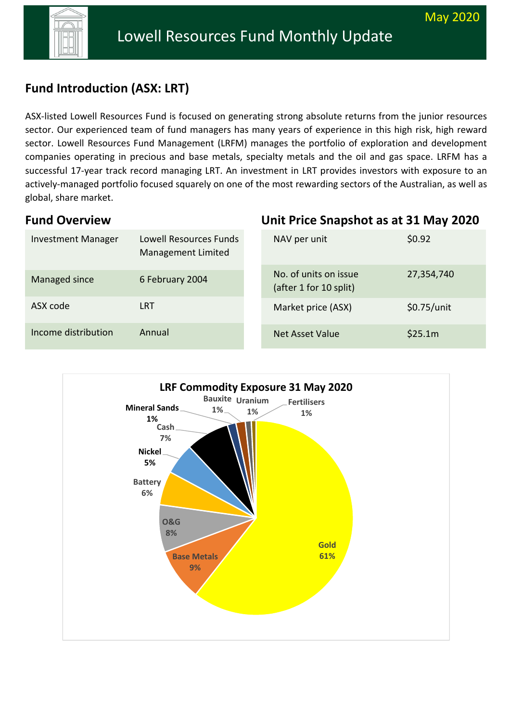**Unit Price Snapshot as at 31 May 2020** 



# **Fund Introduction (ASX: LRT)**

ASX-listed Lowell Resources Fund is focused on generating strong absolute returns from the junior resources sector. Our experienced team of fund managers has many years of experience in this high risk, high reward sector. Lowell Resources Fund Management (LRFM) manages the portfolio of exploration and development companies operating in precious and base metals, specialty metals and the oil and gas space. LRFM has a successful 17-year track record managing LRT. An investment in LRT provides investors with exposure to an actively-managed portfolio focused squarely on one of the most rewarding sectors of the Australian, as well as global, share market.

### **Fund Overview**

| <b>Investment Manager</b> | Lowell Resources Funds<br>Management Limited | NAV per unit                                    | \$0.92        |
|---------------------------|----------------------------------------------|-------------------------------------------------|---------------|
| Managed since             | 6 February 2004                              | No. of units on issue<br>(after 1 for 10 split) | 27,354,740    |
| ASX code                  | <b>LRT</b>                                   | Market price (ASX)                              | $$0.75/$ unit |
| Income distribution       | Annual                                       | <b>Net Asset Value</b>                          | \$25.1m       |

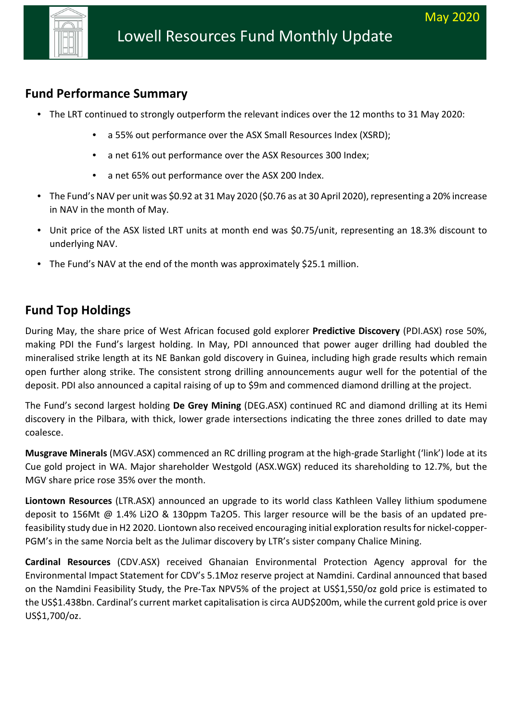

### **Fund Performance Summary**

- The LRT continued to strongly outperform the relevant indices over the 12 months to 31 May 2020:
	- a 55% out performance over the ASX Small Resources Index (XSRD);
	- a net 61% out performance over the ASX Resources 300 Index;
	- a net 65% out performance over the ASX 200 Index.
- The Fund's NAV per unit was \$0.92 at 31 May 2020 (\$0.76 as at 30 April 2020), representing a 20% increase in NAV in the month of May.
- Unit price of the ASX listed LRT units at month end was \$0.75/unit, representing an 18.3% discount to underlying NAV.
- The Fund's NAV at the end of the month was approximately \$25.1 million.

### **Fund Top Holdings**

During May, the share price of West African focused gold explorer **Predictive Discovery** (PDI.ASX) rose 50%, making PDI the Fund's largest holding. In May, PDI announced that power auger drilling had doubled the mineralised strike length at its NE Bankan gold discovery in Guinea, including high grade results which remain open further along strike. The consistent strong drilling announcements augur well for the potential of the deposit. PDI also announced a capital raising of up to \$9m and commenced diamond drilling at the project.

The Fund's second largest holding **De Grey Mining** (DEG.ASX) continued RC and diamond drilling at its Hemi discovery in the Pilbara, with thick, lower grade intersections indicating the three zones drilled to date may coalesce.

**Musgrave Minerals** (MGV.ASX) commenced an RC drilling program at the high-grade Starlight ('link') lode at its Cue gold project in WA. Major shareholder Westgold (ASX.WGX) reduced its shareholding to 12.7%, but the MGV share price rose 35% over the month.

**Liontown Resources** (LTR.ASX) announced an upgrade to its world class Kathleen Valley lithium spodumene deposit to 156Mt @ 1.4% Li2O & 130ppm Ta2O5. This larger resource will be the basis of an updated prefeasibility study due in H2 2020. Liontown also received encouraging initial exploration results for nickel-copper-PGM's in the same Norcia belt as the Julimar discovery by LTR's sister company Chalice Mining.

**Cardinal Resources** (CDV.ASX) received Ghanaian Environmental Protection Agency approval for the Environmental Impact Statement for CDV's 5.1Moz reserve project at Namdini. Cardinal announced that based on the Namdini Feasibility Study, the Pre-Tax NPV5% of the project at US\$1,550/oz gold price is estimated to the US\$1.438bn. Cardinal's current market capitalisation is circa AUD\$200m, while the current gold price is over US\$1,700/oz.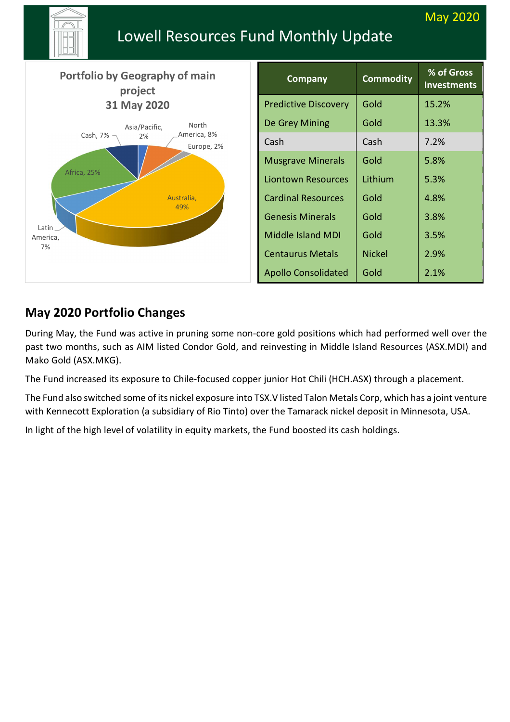<u>na ang pangalang sa pangalang sa pang</u>alang na ang pangalang sa pangalang sa pangalang na pangalang na pangalang n<br>Pangalang sa pangalang sa pangalang na pangalang na pangalang sa pangalang na pangalang na pangalang na pa

# Lowell Resources Fund Monthly Update

| <b>Portfolio by Geography of main</b><br>project                                     | <b>Company</b>              | <b>Commodity</b> | % of Gross<br><b>Investments</b> |
|--------------------------------------------------------------------------------------|-----------------------------|------------------|----------------------------------|
| 31 May 2020                                                                          | <b>Predictive Discovery</b> | Gold             | 15.2%                            |
| North<br>Asia/Pacific,<br>America, 8%<br>Cash, 7%<br>2%<br>Europe, 2%<br>Africa, 25% | De Grey Mining              | Gold             | 13.3%                            |
|                                                                                      | Cash                        | Cash             | 7.2%                             |
|                                                                                      | <b>Musgrave Minerals</b>    | Gold             | 5.8%                             |
|                                                                                      | <b>Liontown Resources</b>   | Lithium          | 5.3%                             |
| Australia,                                                                           | <b>Cardinal Resources</b>   | Gold             | 4.8%                             |
| 49%                                                                                  | <b>Genesis Minerals</b>     | Gold             | 3.8%                             |
| Latin<br>America,                                                                    | <b>Middle Island MDI</b>    | Gold             | 3.5%                             |
| 7%                                                                                   | <b>Centaurus Metals</b>     | <b>Nickel</b>    | 2.9%                             |
|                                                                                      | <b>Apollo Consolidated</b>  | Gold             | 2.1%                             |

# **May 2020 Portfolio Changes**

During May, the Fund was active in pruning some non-core gold positions which had performed well over the past two months, such as AIM listed Condor Gold, and reinvesting in Middle Island Resources (ASX.MDI) and Mako Gold (ASX.MKG).

The Fund increased its exposure to Chile-focused copper junior Hot Chili (HCH.ASX) through a placement.

The Fund also switched some of its nickel exposure into TSX.V listed Talon Metals Corp, which has a joint venture with Kennecott Exploration (a subsidiary of Rio Tinto) over the Tamarack nickel deposit in Minnesota, USA.

In light of the high level of volatility in equity markets, the Fund boosted its cash holdings.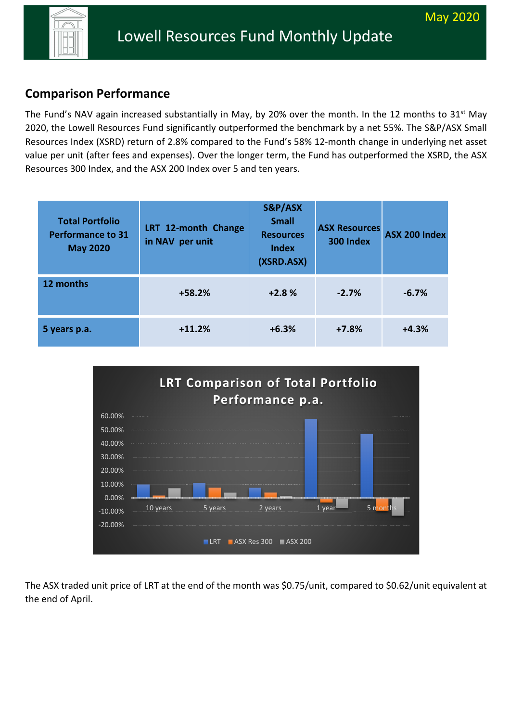

## **Comparison Performance**

The Fund's NAV again increased substantially in May, by 20% over the month. In the 12 months to 31<sup>st</sup> May 2020, the Lowell Resources Fund significantly outperformed the benchmark by a net 55%. The S&P/ASX Small Resources Index (XSRD) return of 2.8% compared to the Fund's 58% 12-month change in underlying net asset value per unit (after fees and expenses). Over the longer term, the Fund has outperformed the XSRD, the ASX Resources 300 Index, and the ASX 200 Index over 5 and ten years.

| <b>Total Portfolio</b><br><b>Performance to 31</b><br><b>May 2020</b> | LRT 12-month Change<br>in NAV per unit | S&P/ASX<br><b>Small</b><br><b>Resources</b><br><b>Index</b><br>(XSRD.ASX) | <b>ASX Resources</b><br>300 Index | ASX 200 Index |
|-----------------------------------------------------------------------|----------------------------------------|---------------------------------------------------------------------------|-----------------------------------|---------------|
| 12 months                                                             | $+58.2%$                               | $+2.8%$                                                                   | $-2.7%$                           | $-6.7%$       |
| 5 years p.a.                                                          | $+11.2%$                               | $+6.3%$                                                                   | $+7.8%$                           | $+4.3%$       |



The ASX traded unit price of LRT at the end of the month was \$0.75/unit, compared to \$0.62/unit equivalent at the end of April.